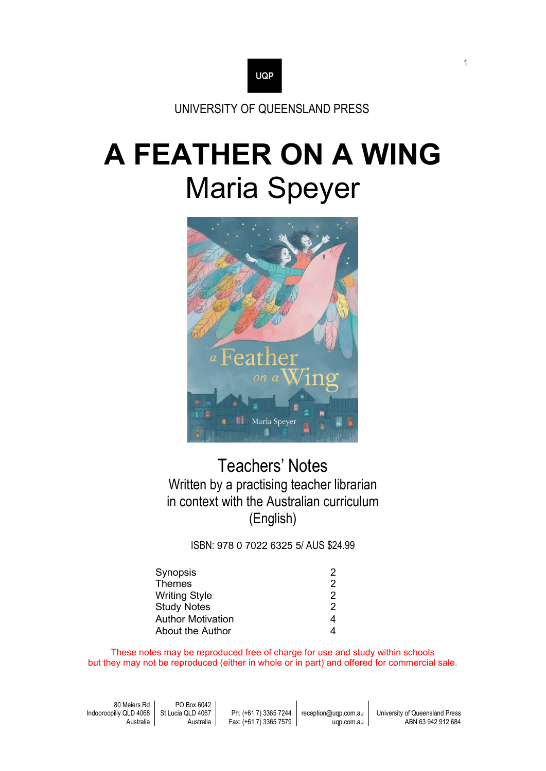

UNIVERSITY OF QUEENSLAND PRESS

# **A FEATHER ON A WING** Maria Speyer



# Teachers' Notes Written by a practising teacher librarian in context with the Australian curriculum (English)

ISBN: 978 0 7022 6325 5/ AUS \$24.99

| Synopsis                 | 2 |
|--------------------------|---|
| <b>Themes</b>            | 2 |
| <b>Writing Style</b>     | 2 |
| <b>Study Notes</b>       | 2 |
| <b>Author Motivation</b> | 4 |
| <b>About the Author</b>  |   |

These notes may be reproduced free of charge for use and study within schools but they may not be reproduced (either in whole or in part) and offered for commercial sale.

| 80 Meiers Rd                               | PO Box 6042 |                        |                      |                                |
|--------------------------------------------|-------------|------------------------|----------------------|--------------------------------|
| Indooroopilly QLD 4068   St Lucia QLD 4067 |             | Ph: (+61 7) 3365 7244  | reception@ugp.com.au | University of Queensland Press |
| Australia                                  | Australia   | Fax: (+61 7) 3365 7579 | ugp.com.au           | ABN 63 942 912 684             |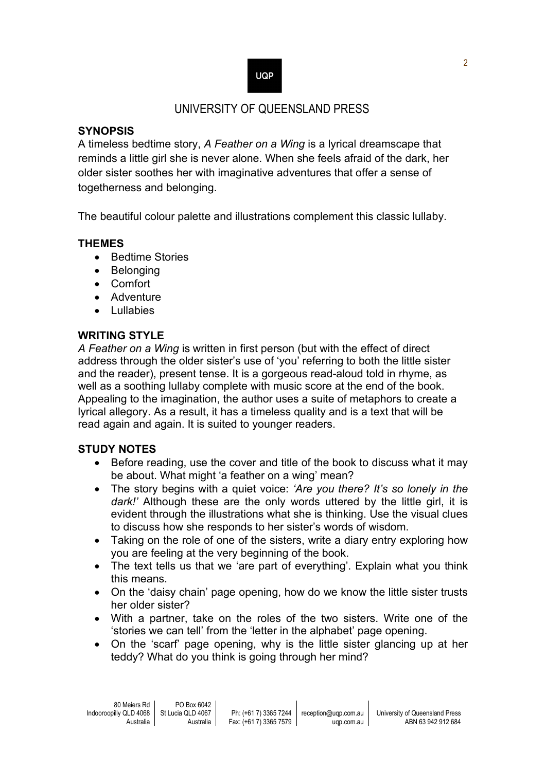# **UQP**

# UNIVERSITY OF QUEENSLAND PRESS

#### **SYNOPSIS**

A timeless bedtime story, *A Feather on a Wing* is a lyrical dreamscape that reminds a little girl she is never alone. When she feels afraid of the dark, her older sister soothes her with imaginative adventures that offer a sense of togetherness and belonging.

The beautiful colour palette and illustrations complement this classic lullaby.

#### **THEMES**

- Bedtime Stories
- Belonging
- Comfort
- Adventure
- Lullabies

#### **WRITING STYLE**

*A Feather on a Wing* is written in first person (but with the effect of direct address through the older sister's use of 'you' referring to both the little sister and the reader), present tense. It is a gorgeous read-aloud told in rhyme, as well as a soothing lullaby complete with music score at the end of the book. Appealing to the imagination, the author uses a suite of metaphors to create a lyrical allegory. As a result, it has a timeless quality and is a text that will be read again and again. It is suited to younger readers.

#### **STUDY NOTES**

- Before reading, use the cover and title of the book to discuss what it may be about. What might 'a feather on a wing' mean?
- The story begins with a quiet voice: *'Are you there? It's so lonely in the dark!'* Although these are the only words uttered by the little girl, it is evident through the illustrations what she is thinking. Use the visual clues to discuss how she responds to her sister's words of wisdom.
- Taking on the role of one of the sisters, write a diary entry exploring how you are feeling at the very beginning of the book.
- The text tells us that we 'are part of everything'. Explain what you think this means.
- On the 'daisy chain' page opening, how do we know the little sister trusts her older sister?
- With a partner, take on the roles of the two sisters. Write one of the 'stories we can tell' from the 'letter in the alphabet' page opening.
- On the 'scarf' page opening, why is the little sister glancing up at her teddy? What do you think is going through her mind?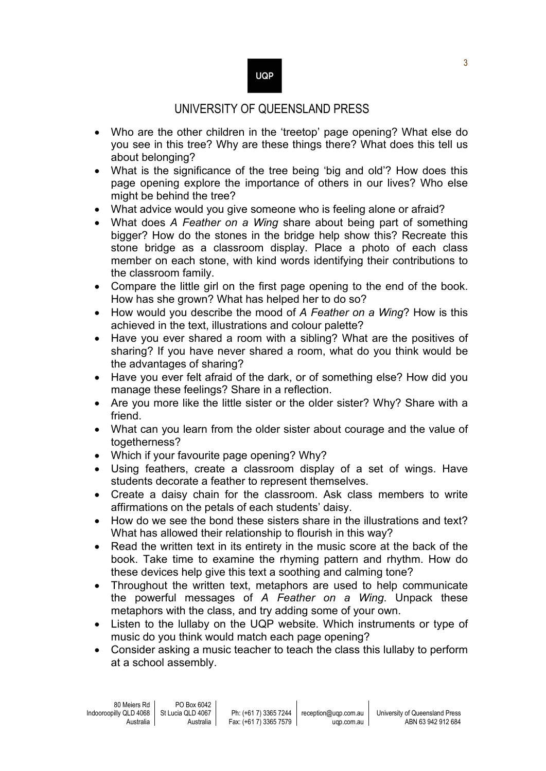## **UQP**

## UNIVERSITY OF QUEENSLAND PRESS

- Who are the other children in the 'treetop' page opening? What else do you see in this tree? Why are these things there? What does this tell us about belonging?
- What is the significance of the tree being 'big and old'? How does this page opening explore the importance of others in our lives? Who else might be behind the tree?
- What advice would you give someone who is feeling alone or afraid?
- What does *A Feather on a Wing* share about being part of something bigger? How do the stones in the bridge help show this? Recreate this stone bridge as a classroom display. Place a photo of each class member on each stone, with kind words identifying their contributions to the classroom family.
- Compare the little girl on the first page opening to the end of the book. How has she grown? What has helped her to do so?
- How would you describe the mood of *A Feather on a Wing*? How is this achieved in the text, illustrations and colour palette?
- Have you ever shared a room with a sibling? What are the positives of sharing? If you have never shared a room, what do you think would be the advantages of sharing?
- Have you ever felt afraid of the dark, or of something else? How did you manage these feelings? Share in a reflection.
- Are you more like the little sister or the older sister? Why? Share with a friend.
- What can you learn from the older sister about courage and the value of togetherness?
- Which if your favourite page opening? Why?
- Using feathers, create a classroom display of a set of wings. Have students decorate a feather to represent themselves.
- Create a daisy chain for the classroom. Ask class members to write affirmations on the petals of each students' daisy.
- How do we see the bond these sisters share in the illustrations and text? What has allowed their relationship to flourish in this way?
- Read the written text in its entirety in the music score at the back of the book. Take time to examine the rhyming pattern and rhythm. How do these devices help give this text a soothing and calming tone?
- Throughout the written text, metaphors are used to help communicate the powerful messages of *A Feather on a Wing*. Unpack these metaphors with the class, and try adding some of your own.
- Listen to the lullaby on the UQP website. Which instruments or type of music do you think would match each page opening?
- Consider asking a music teacher to teach the class this lullaby to perform at a school assembly.